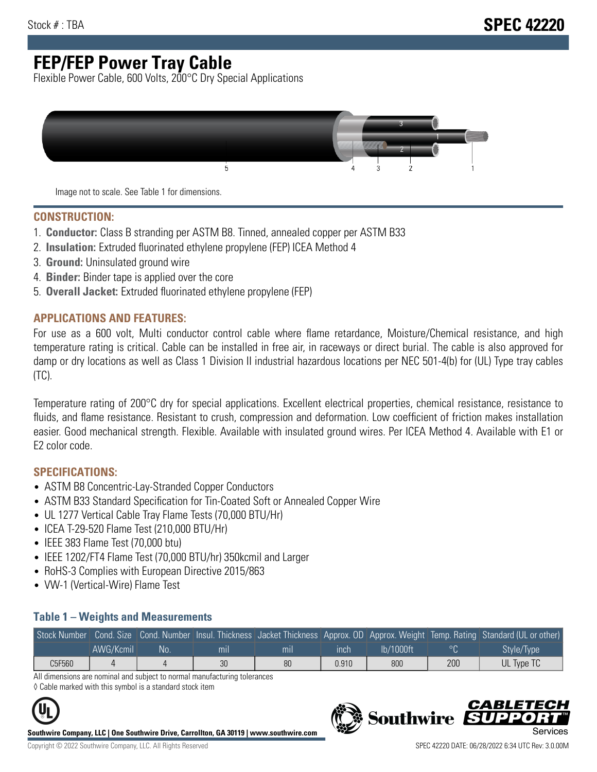# **FEP/FEP Power Tray Cable**

Flexible Power Cable, 600 Volts, 200°C Dry Special Applications



Image not to scale. See Table 1 for dimensions.

#### **CONSTRUCTION:**

- 1. **Conductor:** Class B stranding per ASTM B8. Tinned, annealed copper per ASTM B33
- 2. **Insulation:** Extruded fluorinated ethylene propylene (FEP) ICEA Method 4
- 3. **Ground:** Uninsulated ground wire
- 4. **Binder:** Binder tape is applied over the core
- 5. **Overall Jacket:** Extruded fluorinated ethylene propylene (FEP)

#### **APPLICATIONS AND FEATURES:**

For use as a 600 volt, Multi conductor control cable where flame retardance, Moisture/Chemical resistance, and high temperature rating is critical. Cable can be installed in free air, in raceways or direct burial. The cable is also approved for damp or dry locations as well as Class 1 Division II industrial hazardous locations per NEC 501-4(b) for (UL) Type tray cables (TC).

Temperature rating of 200°C dry for special applications. Excellent electrical properties, chemical resistance, resistance to fluids, and flame resistance. Resistant to crush, compression and deformation. Low coefficient of friction makes installation easier. Good mechanical strength. Flexible. Available with insulated ground wires. Per ICEA Method 4. Available with E1 or E2 color code.

### **SPECIFICATIONS:**

- ASTM B8 Concentric-Lay-Stranded Copper Conductors
- ASTM B33 Standard Specification for Tin-Coated Soft or Annealed Copper Wire
- UL 1277 Vertical Cable Tray Flame Tests (70,000 BTU/Hr)
- ICEA T-29-520 Flame Test (210,000 BTU/Hr)
- IEEE 383 Flame Test (70,000 btu)
- IEEE 1202/FT4 Flame Test (70,000 BTU/hr) 350kcmil and Larger
- RoHS-3 Complies with European Directive 2015/863
- VW-1 (Vertical-Wire) Flame Test

#### **Table 1 – Weights and Measurements**

| Stock Number |           |     |                |                |       |           |     | Cond. Size Cond. Number Insul. Thickness Jacket Thickness Approx. OD Approx. Weight Temp. Rating Standard (UL or other) |
|--------------|-----------|-----|----------------|----------------|-------|-----------|-----|-------------------------------------------------------------------------------------------------------------------------|
|              | AWG/Kcmil | No. | m <sub>l</sub> | m <sub>l</sub> | ınch  | lb/1000ft |     | Style/Type                                                                                                              |
| C5F560       |           |     | 30             | 80             | 0.910 | 800       | 200 | UL Type TC                                                                                                              |

All dimensions are nominal and subject to normal manufacturing tolerances ◊ Cable marked with this symbol is a standard stock item



**Southwire Company, LLC | One Southwire Drive, Carrollton, GA 30119 | www.southwire.com**